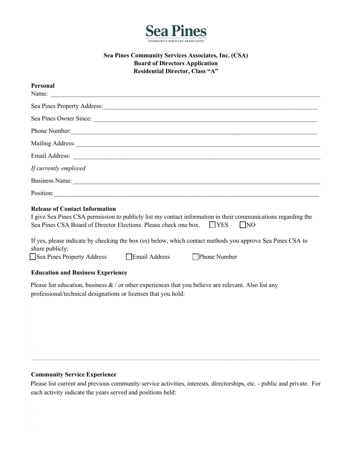

# **Sea Pines Community Services Associates, Inc. (CSA) Board of Directors Application Residential Director, Class "A"**

| Personal                                                                                                                                                                                                                       |
|--------------------------------------------------------------------------------------------------------------------------------------------------------------------------------------------------------------------------------|
| Name:                                                                                                                                                                                                                          |
| Sea Pines Property Address: Manual Accords 2014                                                                                                                                                                                |
| Sea Pines Owner Since:                                                                                                                                                                                                         |
|                                                                                                                                                                                                                                |
| Mailing Address: National Address: National Address: National Address: National Address: National Address: National Address: National Address: National Address: National Address: National Address: National Address: Nationa |
|                                                                                                                                                                                                                                |
| If currently employed                                                                                                                                                                                                          |
|                                                                                                                                                                                                                                |
| Position:                                                                                                                                                                                                                      |
| <b>Release of Contact Information</b>                                                                                                                                                                                          |
| I give Sea Pines CSA permission to publicly list my contact information in their communications regarding the                                                                                                                  |

Sea Pines CSA Board of Director Elections. Please check one box. TYES NO

| If yes, please indicate by checking the box (es) below, which contact methods you approve Sea Pines CSA to |  |
|------------------------------------------------------------------------------------------------------------|--|
| share publicly:                                                                                            |  |

|  | Sea Pines Property Address |
|--|----------------------------|
|--|----------------------------|

Email Address **Exercise Phone Number** 

# **Education and Business Experience**

Please list education, business  $\&$  / or other experiences that you believe are relevant. Also list any professional/technical designations or licenses that you hold:

## **Community Service Experience**

Please list current and previous community service activities, interests, directorships, etc. ‐ public and private. For each activity indicate the years served and positions held:

 $\mathcal{L}_\mathcal{L} = \mathcal{L}_\mathcal{L} = \mathcal{L}_\mathcal{L} = \mathcal{L}_\mathcal{L} = \mathcal{L}_\mathcal{L} = \mathcal{L}_\mathcal{L} = \mathcal{L}_\mathcal{L} = \mathcal{L}_\mathcal{L} = \mathcal{L}_\mathcal{L} = \mathcal{L}_\mathcal{L} = \mathcal{L}_\mathcal{L} = \mathcal{L}_\mathcal{L} = \mathcal{L}_\mathcal{L} = \mathcal{L}_\mathcal{L} = \mathcal{L}_\mathcal{L} = \mathcal{L}_\mathcal{L} = \mathcal{L}_\mathcal{L}$  $\mathcal{L}_\mathcal{L} = \mathcal{L}_\mathcal{L} = \mathcal{L}_\mathcal{L} = \mathcal{L}_\mathcal{L} = \mathcal{L}_\mathcal{L} = \mathcal{L}_\mathcal{L} = \mathcal{L}_\mathcal{L} = \mathcal{L}_\mathcal{L} = \mathcal{L}_\mathcal{L} = \mathcal{L}_\mathcal{L} = \mathcal{L}_\mathcal{L} = \mathcal{L}_\mathcal{L} = \mathcal{L}_\mathcal{L} = \mathcal{L}_\mathcal{L} = \mathcal{L}_\mathcal{L} = \mathcal{L}_\mathcal{L} = \mathcal{L}_\mathcal{L}$